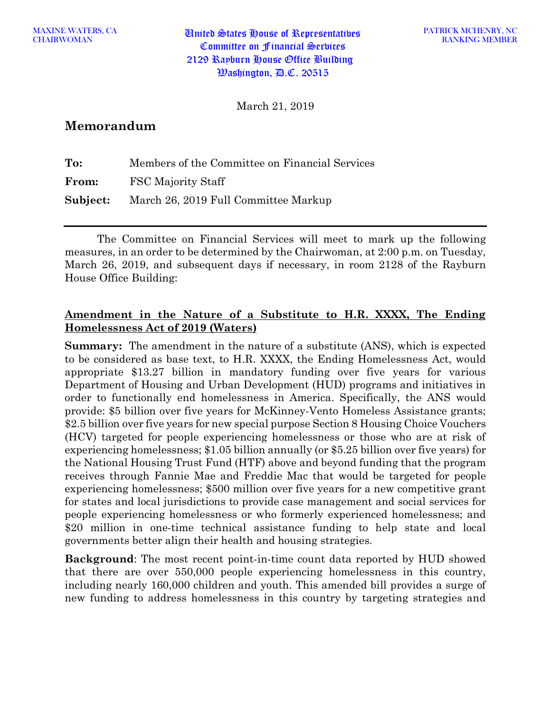MAXINE WATERS, CA<br>CHAIRWOMAN United States House of Representatives Committee on Financial Services 2129 Rayburn House Office Building  $\mathcal{B}$ ashington,  $\mathcal{B}$ .C. 20515

March 21, 2019

# **Memorandum**

| To:      | Members of the Committee on Financial Services |
|----------|------------------------------------------------|
| From:    | FSC Majority Staff                             |
| Subject: | March 26, 2019 Full Committee Markup           |

The Committee on Financial Services will meet to mark up the following measures, in an order to be determined by the Chairwoman, at 2:00 p.m. on Tuesday, March 26, 2019, and subsequent days if necessary, in room 2128 of the Rayburn House Office Building:

#### **Amendment in the Nature of a Substitute to H.R. XXXX, The Ending Homelessness Act of 2019 (Waters)**

**Summary:** The amendment in the nature of a substitute (ANS), which is expected to be considered as base text, to H.R. XXXX, the Ending Homelessness Act, would appropriate \$13.27 billion in mandatory funding over five years for various Department of Housing and Urban Development (HUD) programs and initiatives in order to functionally end homelessness in America. Specifically, the ANS would provide: \$5 billion over five years for McKinney-Vento Homeless Assistance grants; \$2.5 billion over five years for new special purpose Section 8 Housing Choice Vouchers (HCV) targeted for people experiencing homelessness or those who are at risk of experiencing homelessness; \$1.05 billion annually (or \$5.25 billion over five years) for the National Housing Trust Fund (HTF) above and beyond funding that the program receives through Fannie Mae and Freddie Mac that would be targeted for people experiencing homelessness; \$500 million over five years for a new competitive grant for states and local jurisdictions to provide case management and social services for people experiencing homelessness or who formerly experienced homelessness; and \$20 million in one-time technical assistance funding to help state and local governments better align their health and housing strategies.

**Background**: The most recent point-in-time count data reported by HUD showed that there are over 550,000 people experiencing homelessness in this country, including nearly 160,000 children and youth. This amended bill provides a surge of new funding to address homelessness in this country by targeting strategies and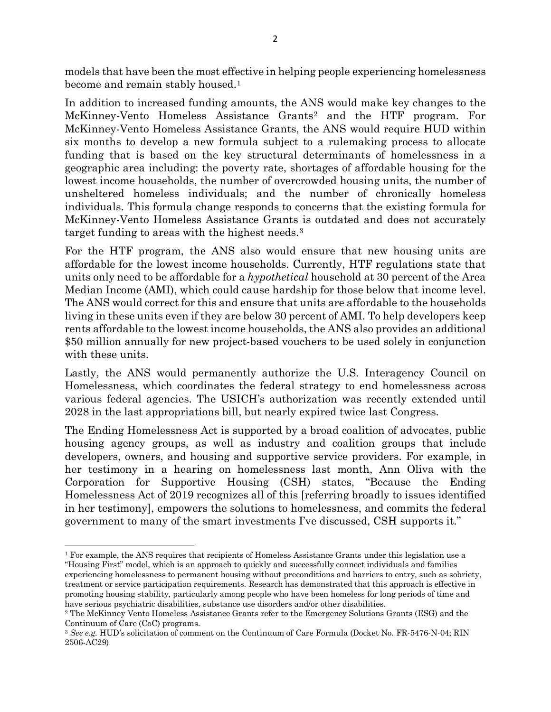models that have been the most effective in helping people experiencing homelessness become and remain stably housed.<sup>1</sup>

In addition to increased funding amounts, the ANS would make key changes to the McKinney-Vento Homeless Assistance Grants[2](#page-1-1) and the HTF program. For McKinney-Vento Homeless Assistance Grants, the ANS would require HUD within six months to develop a new formula subject to a rulemaking process to allocate funding that is based on the key structural determinants of homelessness in a geographic area including: the poverty rate, shortages of affordable housing for the lowest income households, the number of overcrowded housing units, the number of unsheltered homeless individuals; and the number of chronically homeless individuals. This formula change responds to concerns that the existing formula for McKinney-Vento Homeless Assistance Grants is outdated and does not accurately target funding to areas with the highest needs.[3](#page-1-2)

For the HTF program, the ANS also would ensure that new housing units are affordable for the lowest income households. Currently, HTF regulations state that units only need to be affordable for a *hypothetical* household at 30 percent of the Area Median Income (AMI), which could cause hardship for those below that income level. The ANS would correct for this and ensure that units are affordable to the households living in these units even if they are below 30 percent of AMI. To help developers keep rents affordable to the lowest income households, the ANS also provides an additional \$50 million annually for new project-based vouchers to be used solely in conjunction with these units.

Lastly, the ANS would permanently authorize the U.S. Interagency Council on Homelessness, which coordinates the federal strategy to end homelessness across various federal agencies. The USICH's authorization was recently extended until 2028 in the last appropriations bill, but nearly expired twice last Congress.

The Ending Homelessness Act is supported by a broad coalition of advocates, public housing agency groups, as well as industry and coalition groups that include developers, owners, and housing and supportive service providers. For example, in her testimony in a hearing on homelessness last month, Ann Oliva with the Corporation for Supportive Housing (CSH) states, "Because the Ending Homelessness Act of 2019 recognizes all of this [referring broadly to issues identified in her testimony], empowers the solutions to homelessness, and commits the federal government to many of the smart investments I've discussed, CSH supports it."

<span id="page-1-0"></span> $\overline{\phantom{a}}$ <sup>1</sup> For example, the ANS requires that recipients of Homeless Assistance Grants under this legislation use a "Housing First" model, which is an approach to quickly and successfully connect individuals and families experiencing homelessness to permanent housing without preconditions and barriers to entry, such as sobriety, treatment or service participation requirements. Research has demonstrated that this approach is effective in promoting housing stability, particularly among people who have been homeless for long periods of time and have serious psychiatric disabilities, substance use disorders and/or other disabilities.

<span id="page-1-1"></span><sup>2</sup> The McKinney Vento Homeless Assistance Grants refer to the Emergency Solutions Grants (ESG) and the Continuum of Care (CoC) programs.

<span id="page-1-2"></span><sup>3</sup> *See e.g.* HUD's solicitation of comment on the Continuum of Care Formula (Docket No. FR-5476-N-04; RIN 2506-AC29)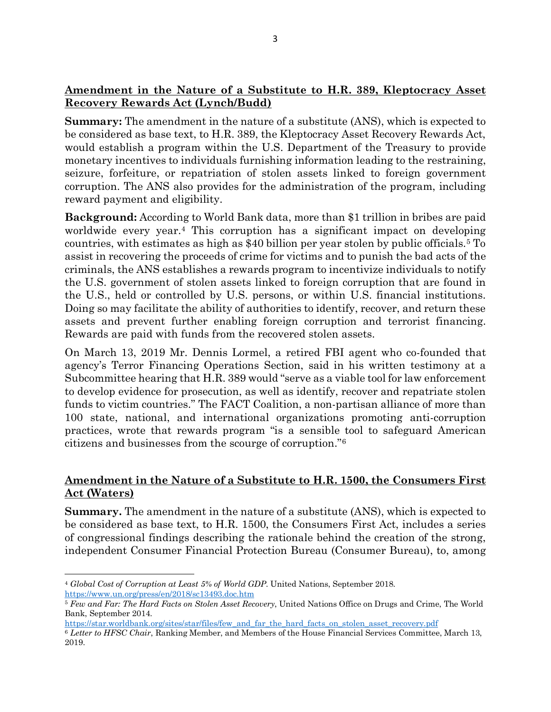### **Amendment in the Nature of a Substitute to H.R. 389, Kleptocracy Asset Recovery Rewards Act (Lynch/Budd)**

**Summary:** The amendment in the nature of a substitute (ANS), which is expected to be considered as base text, to H.R. 389, the Kleptocracy Asset Recovery Rewards Act, would establish a program within the U.S. Department of the Treasury to provide monetary incentives to individuals furnishing information leading to the restraining, seizure, forfeiture, or repatriation of stolen assets linked to foreign government corruption. The ANS also provides for the administration of the program, including reward payment and eligibility.

**Background:** According to World Bank data, more than \$1 trillion in bribes are paid worldwide every year.[4](#page-2-0) This corruption has a significant impact on developing countries, with estimates as high as \$40 billion per year stolen by public officials[.5](#page-2-1) To assist in recovering the proceeds of crime for victims and to punish the bad acts of the criminals, the ANS establishes a rewards program to incentivize individuals to notify the U.S. government of stolen assets linked to foreign corruption that are found in the U.S., held or controlled by U.S. persons, or within U.S. financial institutions. Doing so may facilitate the ability of authorities to identify, recover, and return these assets and prevent further enabling foreign corruption and terrorist financing. Rewards are paid with funds from the recovered stolen assets.

On March 13, 2019 Mr. Dennis Lormel, a retired FBI agent who co-founded that agency's Terror Financing Operations Section, said in his written testimony at a Subcommittee hearing that H.R. 389 would "serve as a viable tool for law enforcement to develop evidence for prosecution, as well as identify, recover and repatriate stolen funds to victim countries." The FACT Coalition, a non-partisan alliance of more than 100 state, national, and international organizations promoting anti-corruption practices, wrote that rewards program "is a sensible tool to safeguard American citizens and businesses from the scourge of corruption."[6](#page-2-2)

## **Amendment in the Nature of a Substitute to H.R. 1500, the Consumers First Act (Waters)**

**Summary.** The amendment in the nature of a substitute (ANS), which is expected to be considered as base text, to H.R. 1500, the Consumers First Act, includes a series of congressional findings describing the rationale behind the creation of the strong, independent Consumer Financial Protection Bureau (Consumer Bureau), to, among

 $\overline{\phantom{a}}$ 

<span id="page-2-0"></span><sup>4</sup> *Global Cost of Corruption at Least 5% of World GDP*. United Nations, September 2018.

<span id="page-2-1"></span><https://www.un.org/press/en/2018/sc13493.doc.htm>5 *Few and Far: The Hard Facts on Stolen Asset Recovery*, United Nations Office on Drugs and Crime, The World Bank, September 2014.

[https://star.worldbank.org/sites/star/files/few\\_and\\_far\\_the\\_hard\\_facts\\_on\\_stolen\\_asset\\_recovery.pdf](https://star.worldbank.org/sites/star/files/few_and_far_the_hard_facts_on_stolen_asset_recovery.pdf) 6 *Letter to HFSC Chair*, Ranking Member, and Members of the House Financial Services Committee, March 13,

<span id="page-2-2"></span><sup>2019.</sup>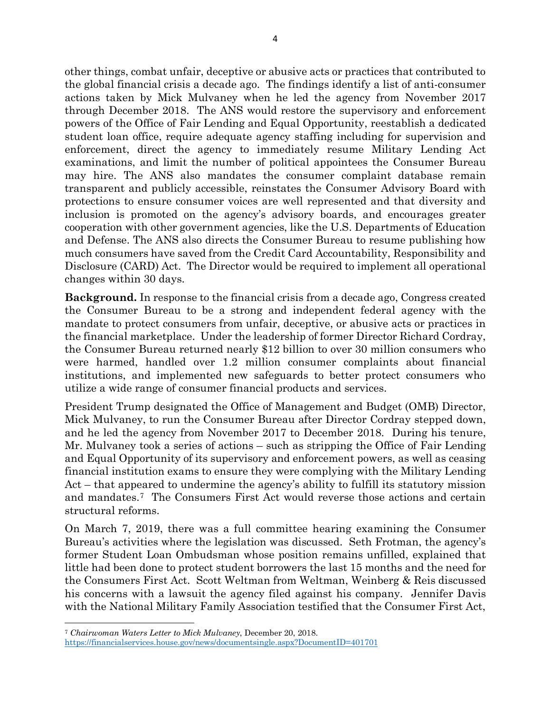other things, combat unfair, deceptive or abusive acts or practices that contributed to the global financial crisis a decade ago. The findings identify a list of anti-consumer actions taken by Mick Mulvaney when he led the agency from November 2017 through December 2018. The ANS would restore the supervisory and enforcement powers of the Office of Fair Lending and Equal Opportunity, reestablish a dedicated student loan office, require adequate agency staffing including for supervision and enforcement, direct the agency to immediately resume Military Lending Act examinations, and limit the number of political appointees the Consumer Bureau may hire. The ANS also mandates the consumer complaint database remain transparent and publicly accessible, reinstates the Consumer Advisory Board with protections to ensure consumer voices are well represented and that diversity and inclusion is promoted on the agency's advisory boards, and encourages greater cooperation with other government agencies, like the U.S. Departments of Education and Defense. The ANS also directs the Consumer Bureau to resume publishing how much consumers have saved from the Credit Card Accountability, Responsibility and Disclosure (CARD) Act. The Director would be required to implement all operational changes within 30 days.

**Background.** In response to the financial crisis from a decade ago, Congress created the Consumer Bureau to be a strong and independent federal agency with the mandate to protect consumers from unfair, deceptive, or abusive acts or practices in the financial marketplace. Under the leadership of former Director Richard Cordray, the Consumer Bureau returned nearly \$12 billion to over 30 million consumers who were harmed, handled over 1.2 million consumer complaints about financial institutions, and implemented new safeguards to better protect consumers who utilize a wide range of consumer financial products and services.

President Trump designated the Office of Management and Budget (OMB) Director, Mick Mulvaney, to run the Consumer Bureau after Director Cordray stepped down, and he led the agency from November 2017 to December 2018. During his tenure, Mr. Mulvaney took a series of actions – such as stripping the Office of Fair Lending and Equal Opportunity of its supervisory and enforcement powers, as well as ceasing financial institution exams to ensure they were complying with the Military Lending Act – that appeared to undermine the agency's ability to fulfill its statutory mission and mandates.[7](#page-3-0) The Consumers First Act would reverse those actions and certain structural reforms.

On March 7, 2019, there was a full committee hearing examining the Consumer Bureau's activities where the legislation was discussed. Seth Frotman, the agency's former Student Loan Ombudsman whose position remains unfilled, explained that little had been done to protect student borrowers the last 15 months and the need for the Consumers First Act. Scott Weltman from Weltman, Weinberg & Reis discussed his concerns with a lawsuit the agency filed against his company. Jennifer Davis with the National Military Family Association testified that the Consumer First Act,

 $\overline{\phantom{a}}$ <sup>7</sup> *Chairwoman Waters Letter to Mick Mulvaney*, December 20, 2018.

<span id="page-3-0"></span><https://financialservices.house.gov/news/documentsingle.aspx?DocumentID=401701>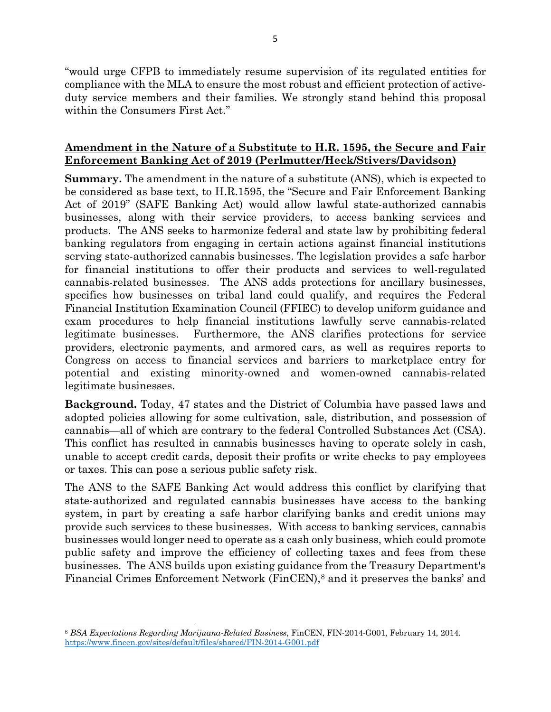"would urge CFPB to immediately resume supervision of its regulated entities for compliance with the MLA to ensure the most robust and efficient protection of activeduty service members and their families. We strongly stand behind this proposal within the Consumers First Act."

#### **Amendment in the Nature of a Substitute to H.R. 1595, the Secure and Fair Enforcement Banking Act of 2019 (Perlmutter/Heck/Stivers/Davidson)**

**Summary.** The amendment in the nature of a substitute (ANS), which is expected to be considered as base text, to H.R.1595, the "Secure and Fair Enforcement Banking Act of 2019" (SAFE Banking Act) would allow lawful state-authorized cannabis businesses, along with their service providers, to access banking services and products. The ANS seeks to harmonize federal and state law by prohibiting federal banking regulators from engaging in certain actions against financial institutions serving state-authorized cannabis businesses. The legislation provides a safe harbor for financial institutions to offer their products and services to well-regulated cannabis-related businesses. The ANS adds protections for ancillary businesses, specifies how businesses on tribal land could qualify, and requires the Federal Financial Institution Examination Council (FFIEC) to develop uniform guidance and exam procedures to help financial institutions lawfully serve cannabis-related legitimate businesses. Furthermore, the ANS clarifies protections for service providers, electronic payments, and armored cars, as well as requires reports to Congress on access to financial services and barriers to marketplace entry for potential and existing minority-owned and women-owned cannabis-related legitimate businesses.

**Background.** Today, 47 states and the District of Columbia have passed laws and adopted policies allowing for some cultivation, sale, distribution, and possession of cannabis—all of which are contrary to the federal Controlled Substances Act (CSA). This conflict has resulted in cannabis businesses having to operate solely in cash, unable to accept credit cards, deposit their profits or write checks to pay employees or taxes. This can pose a serious public safety risk.

The ANS to the SAFE Banking Act would address this conflict by clarifying that state-authorized and regulated cannabis businesses have access to the banking system, in part by creating a safe harbor clarifying banks and credit unions may provide such services to these businesses. With access to banking services, cannabis businesses would longer need to operate as a cash only business, which could promote public safety and improve the efficiency of collecting taxes and fees from these businesses. The ANS builds upon existing guidance from the Treasury Department's Financial Crimes Enforcement Network (FinCEN),<sup>[8](#page-4-0)</sup> and it preserves the banks' and

<span id="page-4-0"></span> $\overline{\phantom{a}}$ <sup>8</sup> *BSA Expectations Regarding Marijuana-Related Business*, FinCEN, FIN-2014-G001, February 14, 2014. <https://www.fincen.gov/sites/default/files/shared/FIN-2014-G001.pdf>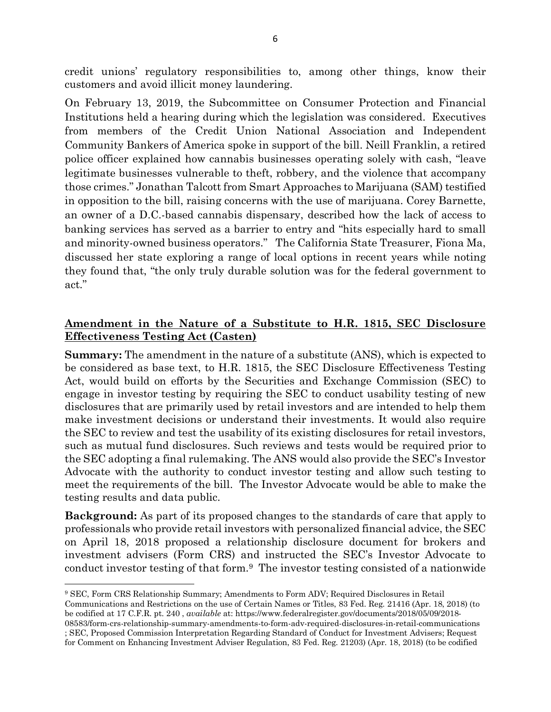credit unions' regulatory responsibilities to, among other things, know their customers and avoid illicit money laundering.

On February 13, 2019, the Subcommittee on Consumer Protection and Financial Institutions held a hearing during which the legislation was considered. Executives from members of the Credit Union National Association and Independent Community Bankers of America spoke in support of the bill. Neill Franklin, a retired police officer explained how cannabis businesses operating solely with cash, "leave legitimate businesses vulnerable to theft, robbery, and the violence that accompany those crimes." Jonathan Talcott from Smart Approaches to Marijuana (SAM) testified in opposition to the bill, raising concerns with the use of marijuana. Corey Barnette, an owner of a D.C.-based cannabis dispensary, described how the lack of access to banking services has served as a barrier to entry and "hits especially hard to small and minority-owned business operators." The California State Treasurer, Fiona Ma, discussed her state exploring a range of local options in recent years while noting they found that, "the only truly durable solution was for the federal government to act."

## **Amendment in the Nature of a Substitute to H.R. 1815, SEC Disclosure Effectiveness Testing Act (Casten)**

**Summary:** The amendment in the nature of a substitute (ANS), which is expected to be considered as base text, to H.R. 1815, the SEC Disclosure Effectiveness Testing Act, would build on efforts by the Securities and Exchange Commission (SEC) to engage in investor testing by requiring the SEC to conduct usability testing of new disclosures that are primarily used by retail investors and are intended to help them make investment decisions or understand their investments. It would also require the SEC to review and test the usability of its existing disclosures for retail investors, such as mutual fund disclosures. Such reviews and tests would be required prior to the SEC adopting a final rulemaking. The ANS would also provide the SEC's Investor Advocate with the authority to conduct investor testing and allow such testing to meet the requirements of the bill. The Investor Advocate would be able to make the testing results and data public.

**Background:** As part of its proposed changes to the standards of care that apply to professionals who provide retail investors with personalized financial advice, the SEC on April 18, 2018 proposed a relationship disclosure document for brokers and investment advisers (Form CRS) and instructed the SEC's Investor Advocate to conduct investor testing of that form.[9](#page-5-0) The investor testing consisted of a nationwide

 $\overline{\phantom{a}}$ 

Communications and Restrictions on the use of Certain Names or Titles, 83 Fed. Reg. 21416 (Apr. 18, 2018) (to be codified at 17 C.F.R. pt. 240 , *available* at: https://www.federalregister.gov/documents/2018/05/09/2018-

<span id="page-5-0"></span><sup>9</sup> SEC, Form CRS Relationship Summary; Amendments to Form ADV; Required Disclosures in Retail

<sup>08583/</sup>form-crs-relationship-summary-amendments-to-form-adv-required-disclosures-in-retail-communications ; SEC, Proposed Commission Interpretation Regarding Standard of Conduct for Investment Advisers; Request for Comment on Enhancing Investment Adviser Regulation, 83 Fed. Reg. 21203) (Apr. 18, 2018) (to be codified